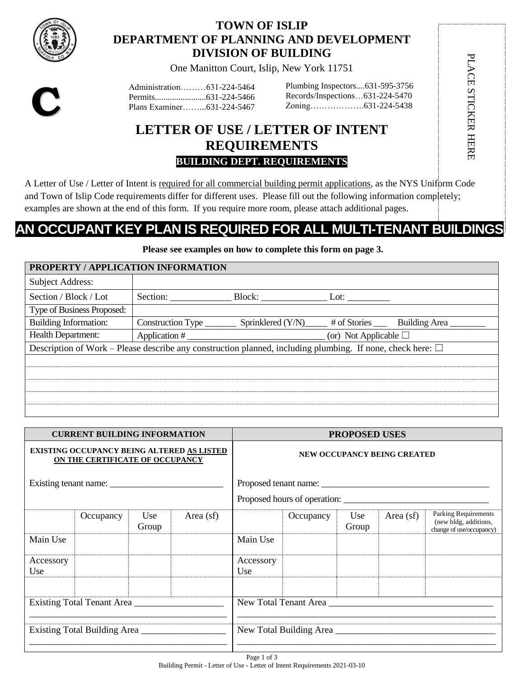

# **TOWN OF ISLIP DEPARTMENT OF PLANNING AND DEVELOPMENT DIVISION OF BUILDING**

One Manitton Court, Islip, New York 11751

**C**

Administration………631-224-5464 Permits........................631-224-5466 Plans Examiner……...631-224-5467

Plumbing Inspectors....631-595-3756 Records/Inspections…631-224-5470 Zoning……………….631-224-5438 PLACE STICKER HERE

PLACE STICKER HERE

# **LETTER OF USE / LETTER OF INTENT REQUIREMENTS BUILDING DEPT. REQUIREMENTS**

A Letter of Use / Letter of Intent is required for all commercial building permit applications, as the NYS Uniform Code and Town of Islip Code requirements differ for different uses. Please fill out the following information completely; examples are shown at the end of this form. If you require more room, please attach additional pages.

# **AN OCCUPANT KEY PLAN IS REQUIRED FOR ALL MULTI-TENANT BUILDINGS**

**Please see examples on how to complete this form on page 3.**

| PROPERTY / APPLICATION INFORMATION                                                                                 |                   |                           |                               |                                       |  |  |  |  |  |
|--------------------------------------------------------------------------------------------------------------------|-------------------|---------------------------|-------------------------------|---------------------------------------|--|--|--|--|--|
| <b>Subject Address:</b>                                                                                            |                   |                           |                               |                                       |  |  |  |  |  |
| Section / Block / Lot                                                                                              | Section:          |                           | Lot:                          |                                       |  |  |  |  |  |
| Type of Business Proposed:                                                                                         |                   |                           |                               |                                       |  |  |  |  |  |
| Building Information:                                                                                              | Construction Type | Sprinklered (Y/N)________ |                               | # of Stories _____ Building Area ____ |  |  |  |  |  |
| <b>Health Department:</b>                                                                                          | Application $#_$  |                           | (or) Not Applicable $\square$ |                                       |  |  |  |  |  |
| Description of Work – Please describe any construction planned, including plumbing. If none, check here: $\square$ |                   |                           |                               |                                       |  |  |  |  |  |
|                                                                                                                    |                   |                           |                               |                                       |  |  |  |  |  |
|                                                                                                                    |                   |                           |                               |                                       |  |  |  |  |  |
|                                                                                                                    |                   |                           |                               |                                       |  |  |  |  |  |
|                                                                                                                    |                   |                           |                               |                                       |  |  |  |  |  |
|                                                                                                                    |                   |                           |                               |                                       |  |  |  |  |  |

| <b>CURRENT BUILDING INFORMATION</b>                                                  |           |               |                                    | <b>PROPOSED USES</b>         |           |              |             |                                                                           |
|--------------------------------------------------------------------------------------|-----------|---------------|------------------------------------|------------------------------|-----------|--------------|-------------|---------------------------------------------------------------------------|
| <b>EXISTING OCCUPANCY BEING ALTERED AS LISTED</b><br>ON THE CERTIFICATE OF OCCUPANCY |           |               | <b>NEW OCCUPANCY BEING CREATED</b> |                              |           |              |             |                                                                           |
|                                                                                      |           |               |                                    |                              |           |              |             |                                                                           |
|                                                                                      |           |               |                                    | Proposed hours of operation: |           |              |             |                                                                           |
|                                                                                      | Occupancy | Use.<br>Group | Area $(sf)$                        |                              | Occupancy | Use<br>Group | Area $(sf)$ | Parking Requirements<br>(new bldg, additions,<br>change of use/occupancy) |
| Main Use                                                                             |           |               |                                    | Main Use                     |           |              |             |                                                                           |
| Accessory<br><b>Use</b>                                                              |           |               |                                    | Accessory<br>Use             |           |              |             |                                                                           |
| Existing Total Tenant Area                                                           |           |               |                                    |                              |           |              |             |                                                                           |
| Existing Total Building Area                                                         |           |               | New Total Building Area            |                              |           |              |             |                                                                           |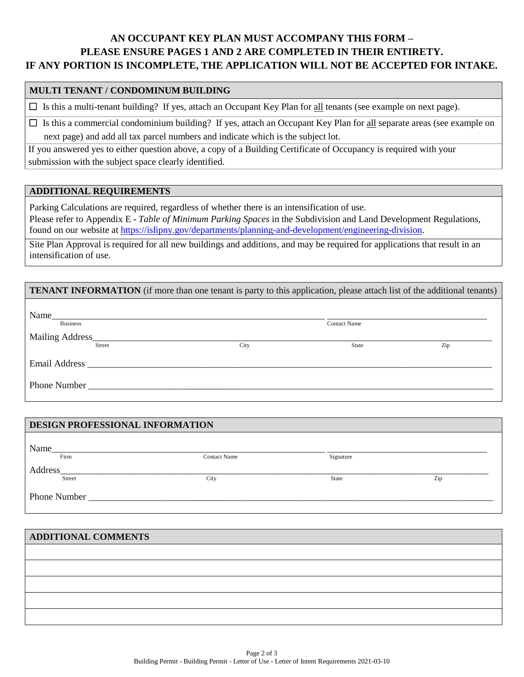# **AN OCCUPANT KEY PLAN MUST ACCOMPANY THIS FORM – PLEASE ENSURE PAGES 1 AND 2 ARE COMPLETED IN THEIR ENTIRETY. IF ANY PORTION IS INCOMPLETE, THE APPLICATION WILL NOT BE ACCEPTED FOR INTAKE.**

#### **MULTI TENANT / CONDOMINUM BUILDING**

 $\Box$  Is this a multi-tenant building? If yes, attach an Occupant Key Plan for all tenants (see example on next page).

 $\Box$  Is this a commercial condominium building? If yes, attach an Occupant Key Plan for all separate areas (see example on next page) and add all tax parcel numbers and indicate which is the subject lot.

If you answered yes to either question above, a copy of a Building Certificate of Occupancy is required with your submission with the subject space clearly identified.

#### **ADDITIONAL REQUIREMENTS**

**DESIGN PROFESSIONAL INFORMATION**

Parking Calculations are required, regardless of whether there is an intensification of use. Please refer to Appendix E - *Table of Minimum Parking Spaces* in the Subdivision and Land Development Regulations, found on our website at [https://islipny.gov/departments/planning-and-development/engineering-division.](https://islipny.gov/departments/planning-and-development/engineering-division)

Site Plan Approval is required for all new buildings and additions, and may be required for applications that result in an intensification of use.

| <b>TENANT INFORMATION</b> (if more than one tenant is party to this application, please attach list of the additional tenants)                                                                                                 |      |                     |     |  |  |  |  |
|--------------------------------------------------------------------------------------------------------------------------------------------------------------------------------------------------------------------------------|------|---------------------|-----|--|--|--|--|
| <u> 1980 - Jan Barbara, martin da shekara tsa mashari ne da shekara tsa mashari ne da shekara tsa mashari ne</u><br><b>Business</b>                                                                                            |      | <b>Contact Name</b> |     |  |  |  |  |
| Mailing Address<br>Street                                                                                                                                                                                                      | City | <b>State</b>        | Zip |  |  |  |  |
| Email Address and the state of the state of the state of the state of the state of the state of the state of the state of the state of the state of the state of the state of the state of the state of the state of the state |      |                     |     |  |  |  |  |
| <b>Phone Number</b> Phone Number                                                                                                                                                                                               |      |                     |     |  |  |  |  |

| Name    |                     |           |     |
|---------|---------------------|-----------|-----|
| Firm    | <b>Contact Name</b> | Signature |     |
| Address |                     |           |     |
| Street  | City                | State     | Zip |

# **ADDITIONAL COMMENTS**